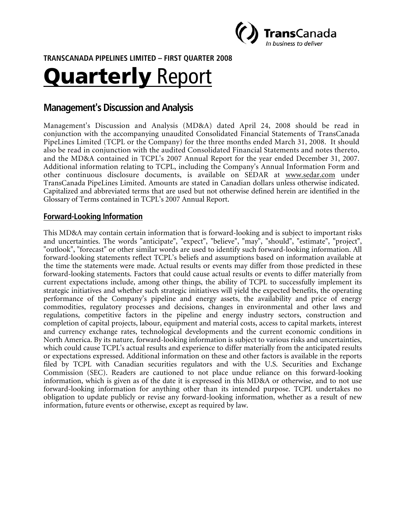

**TRANSCANADA PIPELINES LIMITED – FIRST QUARTER 2008** 

# Quarterly Report

# **Management's Discussion and Analysis**

Management's Discussion and Analysis (MD&A) dated April 24, 2008 should be read in conjunction with the accompanying unaudited Consolidated Financial Statements of TransCanada PipeLines Limited (TCPL or the Company) for the three months ended March 31, 2008. It should also be read in conjunction with the audited Consolidated Financial Statements and notes thereto, and the MD&A contained in TCPL's 2007 Annual Report for the year ended December 31, 2007. Additional information relating to TCPL, including the Company's Annual Information Form and other continuous disclosure documents, is available on SEDAR at www.sedar.com under TransCanada PipeLines Limited. Amounts are stated in Canadian dollars unless otherwise indicated. Capitalized and abbreviated terms that are used but not otherwise defined herein are identified in the Glossary of Terms contained in TCPL's 2007 Annual Report.

## **Forward-Looking Information**

This MD&A may contain certain information that is forward-looking and is subject to important risks and uncertainties. The words "anticipate", "expect", "believe", "may", "should", "estimate", "project", "outlook", "forecast" or other similar words are used to identify such forward-looking information. All forward-looking statements reflect TCPL's beliefs and assumptions based on information available at the time the statements were made. Actual results or events may differ from those predicted in these forward-looking statements. Factors that could cause actual results or events to differ materially from current expectations include, among other things, the ability of TCPL to successfully implement its strategic initiatives and whether such strategic initiatives will yield the expected benefits, the operating performance of the Company's pipeline and energy assets, the availability and price of energy commodities, regulatory processes and decisions, changes in environmental and other laws and regulations, competitive factors in the pipeline and energy industry sectors, construction and completion of capital projects, labour, equipment and material costs, access to capital markets, interest and currency exchange rates, technological developments and the current economic conditions in North America. By its nature, forward-looking information is subject to various risks and uncertainties, which could cause TCPL's actual results and experience to differ materially from the anticipated results or expectations expressed. Additional information on these and other factors is available in the reports filed by TCPL with Canadian securities regulators and with the U.S. Securities and Exchange Commission (SEC). Readers are cautioned to not place undue reliance on this forward-looking information, which is given as of the date it is expressed in this MD&A or otherwise, and to not use forward-looking information for anything other than its intended purpose. TCPL undertakes no obligation to update publicly or revise any forward-looking information, whether as a result of new information, future events or otherwise, except as required by law.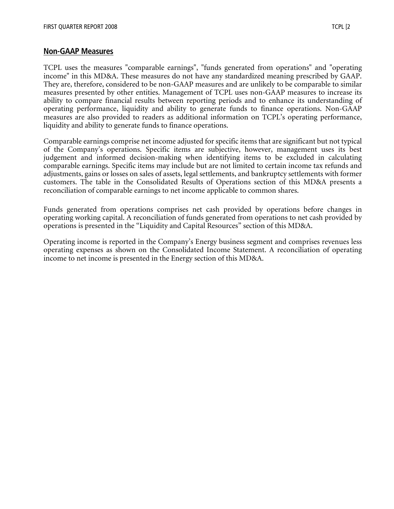#### **Non-GAAP Measures**

TCPL uses the measures "comparable earnings", "funds generated from operations" and "operating income" in this MD&A. These measures do not have any standardized meaning prescribed by GAAP. They are, therefore, considered to be non-GAAP measures and are unlikely to be comparable to similar measures presented by other entities. Management of TCPL uses non-GAAP measures to increase its ability to compare financial results between reporting periods and to enhance its understanding of operating performance, liquidity and ability to generate funds to finance operations. Non-GAAP measures are also provided to readers as additional information on TCPL's operating performance, liquidity and ability to generate funds to finance operations.

Comparable earnings comprise net income adjusted for specific items that are significant but not typical of the Company's operations. Specific items are subjective, however, management uses its best judgement and informed decision-making when identifying items to be excluded in calculating comparable earnings. Specific items may include but are not limited to certain income tax refunds and adjustments, gains or losses on sales of assets, legal settlements, and bankruptcy settlements with former customers. The table in the Consolidated Results of Operations section of this MD&A presents a reconciliation of comparable earnings to net income applicable to common shares.

Funds generated from operations comprises net cash provided by operations before changes in operating working capital. A reconciliation of funds generated from operations to net cash provided by operations is presented in the "Liquidity and Capital Resources" section of this MD&A.

Operating income is reported in the Company's Energy business segment and comprises revenues less operating expenses as shown on the Consolidated Income Statement. A reconciliation of operating income to net income is presented in the Energy section of this MD&A.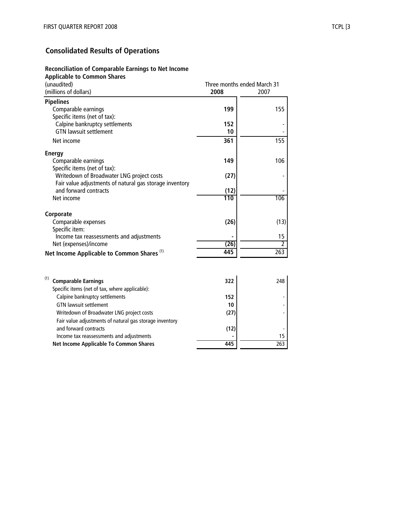#### **Consolidated Results of Operations**

#### **Reconciliation of Comparable Earnings to Net Income Applicable to Common Shares 2008** 2007 **Pipelines** Comparable earnings **199** 155 Specific items (net of tax): Calpine bankruptcy settlements **152** GTN lawsuit settlement Net income **361** 155 **Energy**  Comparable earnings **149** 106 Specific items (net of tax): Writedown of Broadwater LNG project costs **(27)** - Fair value adjustments of natural gas storage inventory and forward contracts (12) Net income 106 **Corporate**  Comparable expenses (26) (13) Specific item: Income tax reassessments and adjustments **15** Net (expenses)/income **(26)** 2 Net Income Applicable to Common Shares<sup>(1)</sup> 445 445 (1) **Comparable Earnings 322** 248 Specific items (net of tax, where applicable): Calpine bankruptcy settlements **152** GTN lawsuit settlement (millions of dollars) (unaudited) Three months ended March 31

Writedown of Broadwater LNG project costs **(27)** -

and forward contracts (12)

Income tax reassessments and adjustments **and accomplexity -** 15 **Net Income Applicable To Common Shares 445** 263

Fair value adjustments of natural gas storage inventory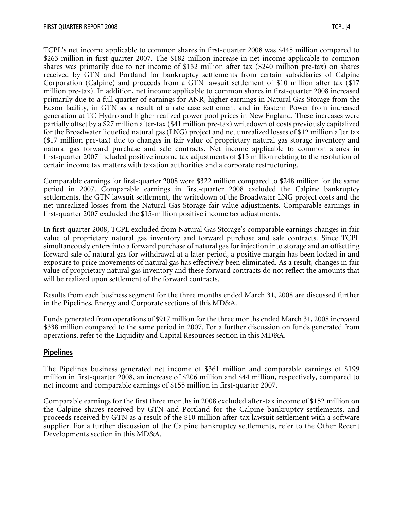TCPL's net income applicable to common shares in first-quarter 2008 was \$445 million compared to \$263 million in first-quarter 2007. The \$182-million increase in net income applicable to common shares was primarily due to net income of \$152 million after tax (\$240 million pre-tax) on shares received by GTN and Portland for bankruptcy settlements from certain subsidiaries of Calpine Corporation (Calpine) and proceeds from a GTN lawsuit settlement of \$10 million after tax (\$17 million pre-tax). In addition, net income applicable to common shares in first-quarter 2008 increased primarily due to a full quarter of earnings for ANR, higher earnings in Natural Gas Storage from the Edson facility, in GTN as a result of a rate case settlement and in Eastern Power from increased generation at TC Hydro and higher realized power pool prices in New England. These increases were partially offset by a \$27 million after-tax (\$41 million pre-tax) writedown of costs previously capitalized for the Broadwater liquefied natural gas (LNG) project and net unrealized losses of \$12 million after tax (\$17 million pre-tax) due to changes in fair value of proprietary natural gas storage inventory and natural gas forward purchase and sale contracts. Net income applicable to common shares in first-quarter 2007 included positive income tax adjustments of \$15 million relating to the resolution of certain income tax matters with taxation authorities and a corporate restructuring.

Comparable earnings for first-quarter 2008 were \$322 million compared to \$248 million for the same period in 2007. Comparable earnings in first-quarter 2008 excluded the Calpine bankruptcy settlements, the GTN lawsuit settlement, the writedown of the Broadwater LNG project costs and the net unrealized losses from the Natural Gas Storage fair value adjustments. Comparable earnings in first-quarter 2007 excluded the \$15-million positive income tax adjustments.

In first-quarter 2008, TCPL excluded from Natural Gas Storage's comparable earnings changes in fair value of proprietary natural gas inventory and forward purchase and sale contracts. Since TCPL simultaneously enters into a forward purchase of natural gas for injection into storage and an offsetting forward sale of natural gas for withdrawal at a later period, a positive margin has been locked in and exposure to price movements of natural gas has effectively been eliminated. As a result, changes in fair value of proprietary natural gas inventory and these forward contracts do not reflect the amounts that will be realized upon settlement of the forward contracts.

Results from each business segment for the three months ended March 31, 2008 are discussed further in the Pipelines, Energy and Corporate sections of this MD&A.

Funds generated from operations of \$917 million for the three months ended March 31, 2008 increased \$338 million compared to the same period in 2007. For a further discussion on funds generated from operations, refer to the Liquidity and Capital Resources section in this MD&A.

## **Pipelines**

The Pipelines business generated net income of \$361 million and comparable earnings of \$199 million in first-quarter 2008, an increase of \$206 million and \$44 million, respectively, compared to net income and comparable earnings of \$155 million in first-quarter 2007.

Comparable earnings for the first three months in 2008 excluded after-tax income of \$152 million on the Calpine shares received by GTN and Portland for the Calpine bankruptcy settlements, and proceeds received by GTN as a result of the \$10 million after-tax lawsuit settlement with a software supplier. For a further discussion of the Calpine bankruptcy settlements, refer to the Other Recent Developments section in this MD&A.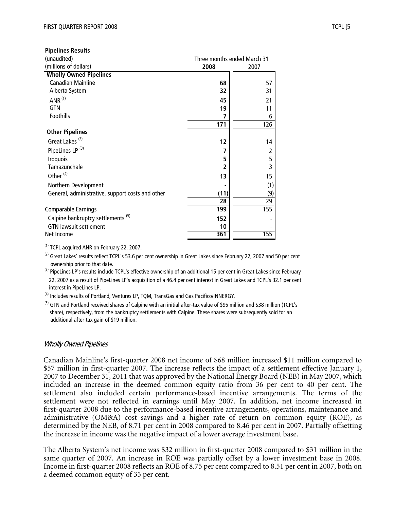| <b>Pipelines Results</b>                         |                 |                             |
|--------------------------------------------------|-----------------|-----------------------------|
| (unaudited)                                      |                 | Three months ended March 31 |
| (millions of dollars)                            | 2008            | 2007                        |
| <b>Wholly Owned Pipelines</b>                    |                 |                             |
| <b>Canadian Mainline</b>                         | 68              | 57                          |
| Alberta System                                   | 32              | 31                          |
| ANR $(1)$                                        | 45              | 21                          |
| GTN                                              | 19              | 11                          |
| Foothills                                        | 7               | 6                           |
|                                                  | 171             | 126                         |
| <b>Other Pipelines</b>                           |                 |                             |
| Great Lakes <sup>(2)</sup>                       | 12              | 14                          |
| PipeLines LP <sup>(3)</sup>                      | 7               | 2                           |
| <b>Iroquois</b>                                  | 5               | 5                           |
| Tamazunchale                                     | $\overline{2}$  | 3                           |
| Other <sup>(4)</sup>                             | 13              | 15                          |
| Northern Development                             |                 | (1)                         |
| General, administrative, support costs and other | (11)            | (9)                         |
|                                                  | $\overline{28}$ | 29                          |
| <b>Comparable Earnings</b>                       | 199             | 155                         |
| Calpine bankruptcy settlements <sup>(5)</sup>    | 152             |                             |
| <b>GTN lawsuit settlement</b>                    | 10              |                             |
| Net Income                                       | 361             | 155                         |

(1) TCPL acquired ANR on February 22, 2007.

 $^{(2)}$  Great Lakes' results reflect TCPL's 53.6 per cent ownership in Great Lakes since February 22, 2007 and 50 per cent ownership prior to that date.

<sup>(3)</sup> PipeLines LP's results include TCPL's effective ownership of an additional 15 per cent in Great Lakes since February 22, 2007 as a result of PipeLines LP's acquisition of a 46.4 per cent interest in Great Lakes and TCPL's 32.1 per cent interest in PipeLines LP.

(4) Includes results of Portland, Ventures LP, TQM, TransGas and Gas Pacifico/INNERGY.

<sup>(5)</sup> GTN and Portland received shares of Calpine with an initial after-tax value of \$95 million and \$38 million (TCPL's share), respectively, from the bankruptcy settlements with Calpine. These shares were subsequently sold for an additional after-tax gain of \$19 million.

#### Wholly Owned Pipelines

Canadian Mainline's first-quarter 2008 net income of \$68 million increased \$11 million compared to \$57 million in first-quarter 2007. The increase reflects the impact of a settlement effective January 1, 2007 to December 31, 2011 that was approved by the National Energy Board (NEB) in May 2007, which included an increase in the deemed common equity ratio from 36 per cent to 40 per cent. The settlement also included certain performance-based incentive arrangements. The terms of the settlement were not reflected in earnings until May 2007. In addition, net income increased in first-quarter 2008 due to the performance-based incentive arrangements, operations, maintenance and administrative (OM&A) cost savings and a higher rate of return on common equity (ROE), as determined by the NEB, of 8.71 per cent in 2008 compared to 8.46 per cent in 2007. Partially offsetting the increase in income was the negative impact of a lower average investment base.

The Alberta System's net income was \$32 million in first-quarter 2008 compared to \$31 million in the same quarter of 2007. An increase in ROE was partially offset by a lower investment base in 2008. Income in first-quarter 2008 reflects an ROE of 8.75 per cent compared to 8.51 per cent in 2007, both on a deemed common equity of 35 per cent.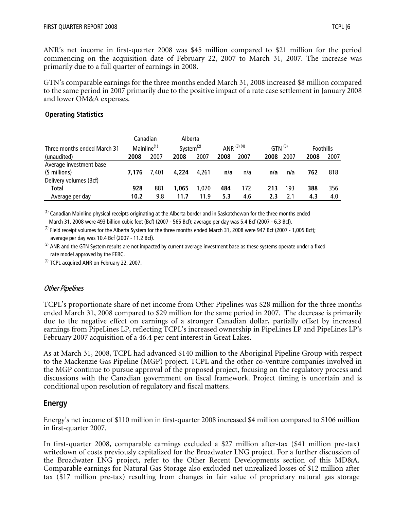ANR's net income in first-quarter 2008 was \$45 million compared to \$21 million for the period commencing on the acquisition date of February 22, 2007 to March 31, 2007. The increase was primarily due to a full quarter of earnings in 2008.

GTN's comparable earnings for the three months ended March 31, 2008 increased \$8 million compared to the same period in 2007 primarily due to the positive impact of a rate case settlement in January 2008 and lower OM&A expenses.

#### **Operating Statistics**

|                             |       | Canadian                | Alberta      |       |               |      |                      |      |                  |      |
|-----------------------------|-------|-------------------------|--------------|-------|---------------|------|----------------------|------|------------------|------|
| Three months ended March 31 |       | Mainline <sup>(1)</sup> | System $(2)$ |       | ANR $(3)$ (4) |      | $GTN$ <sup>(3)</sup> |      | <b>Foothills</b> |      |
| (unaudited)                 | 2008  | 2007                    | 2008         | 2007  | 2008          | 2007 | 2008                 | 2007 | 2008             | 2007 |
| Average investment base     |       |                         |              |       |               |      |                      |      |                  |      |
| (\$ millions)               | 7.176 | 7.401                   | 4.224        | 4.261 | n/a           | n/a  | n/a                  | n/a  | 762              | 818  |
| Delivery volumes (Bcf)      |       |                         |              |       |               |      |                      |      |                  |      |
| Total                       | 928   | 881                     | 1.065        | 1.070 | 484           | 172  | 213                  | 193  | 388              | 356  |
| Average per day             | 10.2  | 9.8                     | 11.7         | 11.9  | 5.3           | 4.6  | 2.3                  | 2.1  | 4.3              | 4.0  |

 $^{(1)}$  Canadian Mainline physical receipts originating at the Alberta border and in Saskatchewan for the three months ended March 31, 2008 were 493 billion cubic feet (Bcf) (2007 - 565 Bcf); average per day was 5.4 Bcf (2007 - 6.3 Bcf).

 $^{(2)}$  Field receipt volumes for the Alberta System for the three months ended March 31, 2008 were 947 Bcf (2007 - 1,005 Bcf); average per day was 10.4 Bcf (2007 - 11.2 Bcf).

 $^{(3)}$  ANR and the GTN System results are not impacted by current average investment base as these systems operate under a fixed rate model approved by the FERC.

<sup>(4)</sup> TCPL acquired ANR on February 22, 2007.

#### Other Pipelines

TCPL's proportionate share of net income from Other Pipelines was \$28 million for the three months ended March 31, 2008 compared to \$29 million for the same period in 2007. The decrease is primarily due to the negative effect on earnings of a stronger Canadian dollar, partially offset by increased earnings from PipeLines LP, reflecting TCPL's increased ownership in PipeLines LP and PipeLines LP's February 2007 acquisition of a 46.4 per cent interest in Great Lakes.

As at March 31, 2008, TCPL had advanced \$140 million to the Aboriginal Pipeline Group with respect to the Mackenzie Gas Pipeline (MGP) project. TCPL and the other co-venture companies involved in the MGP continue to pursue approval of the proposed project, focusing on the regulatory process and discussions with the Canadian government on fiscal framework. Project timing is uncertain and is conditional upon resolution of regulatory and fiscal matters.

#### **Energy**

Energy's net income of \$110 million in first-quarter 2008 increased \$4 million compared to \$106 million in first-quarter 2007.

In first-quarter 2008, comparable earnings excluded a \$27 million after-tax (\$41 million pre-tax) writedown of costs previously capitalized for the Broadwater LNG project. For a further discussion of the Broadwater LNG project, refer to the Other Recent Developments section of this MD&A. Comparable earnings for Natural Gas Storage also excluded net unrealized losses of \$12 million after tax (\$17 million pre-tax) resulting from changes in fair value of proprietary natural gas storage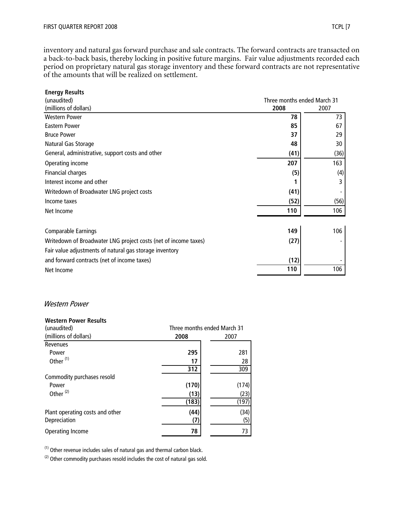inventory and natural gas forward purchase and sale contracts. The forward contracts are transacted on a back-to-back basis, thereby locking in positive future margins. Fair value adjustments recorded each period on proprietary natural gas storage inventory and these forward contracts are not representative of the amounts that will be realized on settlement.

| <b>Energy Results</b>                                           |                             |      |
|-----------------------------------------------------------------|-----------------------------|------|
| (unaudited)                                                     | Three months ended March 31 |      |
| (millions of dollars)                                           | 2008                        | 2007 |
| <b>Western Power</b>                                            | 78                          | 73   |
| <b>Eastern Power</b>                                            | 85                          | 67   |
| <b>Bruce Power</b>                                              | 37                          | 29   |
| Natural Gas Storage                                             | 48                          | 30   |
| General, administrative, support costs and other                | (41)                        | (36) |
| Operating income                                                | 207                         | 163  |
| <b>Financial charges</b>                                        | (5)                         | (4)  |
| Interest income and other                                       |                             | 3    |
| Writedown of Broadwater LNG project costs                       | (41)                        |      |
| Income taxes                                                    | (52)                        | (56) |
| Net Income                                                      | 110                         | 106  |
| <b>Comparable Earnings</b>                                      | 149                         | 106  |
| Writedown of Broadwater LNG project costs (net of income taxes) | (27)                        |      |
| Fair value adjustments of natural gas storage inventory         |                             |      |
| and forward contracts (net of income taxes)                     | (12)                        |      |
| Net Income                                                      | 110                         | 106  |

#### Western Power

#### **Western Power Results**

| (unaudited)                     | Three months ended March 31 |       |  |
|---------------------------------|-----------------------------|-------|--|
| (millions of dollars)           | 2008                        | 2007  |  |
| Revenues                        |                             |       |  |
| Power                           | 295                         | 281   |  |
| Other <sup>(1)</sup>            | 17                          | 28    |  |
|                                 | 312                         | 309   |  |
| Commodity purchases resold      |                             |       |  |
| Power                           | (170)                       | (174) |  |
| Other <sup>(2)</sup>            | (13)                        | (23)  |  |
|                                 | (183)                       | (197) |  |
| Plant operating costs and other | (44)                        | (34)  |  |
| Depreciation                    | (7                          | (5)   |  |
| <b>Operating Income</b>         | 78                          | 73    |  |
|                                 |                             |       |  |

(1) Other revenue includes sales of natural gas and thermal carbon black.

 $(2)$  Other commodity purchases resold includes the cost of natural gas sold.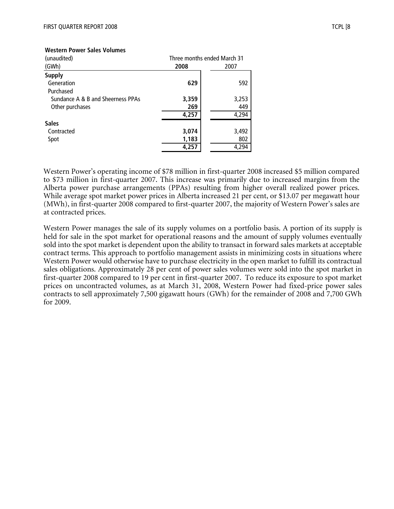#### **Western Power Sales Volumes**

| (unaudited)                       | Three months ended March 31 |       |  |
|-----------------------------------|-----------------------------|-------|--|
| (GWh)                             | 2008                        | 2007  |  |
| <b>Supply</b>                     |                             |       |  |
| Generation                        | 629                         | 592   |  |
| Purchased                         |                             |       |  |
| Sundance A & B and Sheerness PPAs | 3,359                       | 3,253 |  |
| Other purchases                   | 269                         | 449   |  |
|                                   | 4,257                       | 4,294 |  |
| <b>Sales</b>                      |                             |       |  |
| Contracted                        | 3,074                       | 3,492 |  |
| Spot                              | 1,183                       | 802   |  |
|                                   | 4,257                       | 4,294 |  |

Western Power's operating income of \$78 million in first-quarter 2008 increased \$5 million compared to \$73 million in first-quarter 2007. This increase was primarily due to increased margins from the Alberta power purchase arrangements (PPAs) resulting from higher overall realized power prices. While average spot market power prices in Alberta increased 21 per cent, or \$13.07 per megawatt hour (MWh), in first-quarter 2008 compared to first-quarter 2007, the majority of Western Power's sales are at contracted prices.

Western Power manages the sale of its supply volumes on a portfolio basis. A portion of its supply is held for sale in the spot market for operational reasons and the amount of supply volumes eventually sold into the spot market is dependent upon the ability to transact in forward sales markets at acceptable contract terms. This approach to portfolio management assists in minimizing costs in situations where Western Power would otherwise have to purchase electricity in the open market to fulfill its contractual sales obligations. Approximately 28 per cent of power sales volumes were sold into the spot market in first-quarter 2008 compared to 19 per cent in first-quarter 2007. To reduce its exposure to spot market prices on uncontracted volumes, as at March 31, 2008, Western Power had fixed-price power sales contracts to sell approximately 7,500 gigawatt hours (GWh) for the remainder of 2008 and 7,700 GWh for 2009.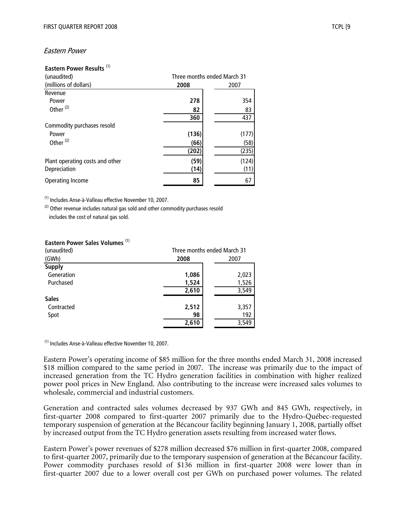#### Eastern Power

#### **Eastern Power Results** (1)

| (unaudited)                     | Three months ended March 31 |       |  |
|---------------------------------|-----------------------------|-------|--|
| (millions of dollars)           | 2008                        | 2007  |  |
| Revenue                         |                             |       |  |
| Power                           | 278                         | 354   |  |
| Other <sup>(2)</sup>            | 82                          | 83    |  |
|                                 | 360                         | 437   |  |
| Commodity purchases resold      |                             |       |  |
| Power                           | (136)                       | (177) |  |
| Other <sup>(2)</sup>            | (66)                        | (58)  |  |
|                                 | (202)                       | (235) |  |
| Plant operating costs and other | (59)                        | (124) |  |
| Depreciation                    | (14)                        | (11)  |  |
| Operating Income                | 85                          | 67    |  |

(1) Includes Anse-à-Valleau effective November 10, 2007.

 $(2)$  Other revenue includes natural gas sold and other commodity purchases resold includes the cost of natural gas sold.

#### **Eastern Power Sales Volumes** (1)

| (unaudited)   |       | Three months ended March 31 |  |  |
|---------------|-------|-----------------------------|--|--|
| (GWh)         | 2008  | 2007                        |  |  |
| <b>Supply</b> |       |                             |  |  |
| Generation    | 1,086 | 2,023                       |  |  |
| Purchased     | 1,524 | 1,526                       |  |  |
|               | 2,610 | 3,549                       |  |  |
| <b>Sales</b>  |       |                             |  |  |
| Contracted    | 2,512 | 3,357                       |  |  |
| Spot          | 98    | 192                         |  |  |
|               | 2,610 | 3,549                       |  |  |

(1) Includes Anse-à-Valleau effective November 10, 2007.

Eastern Power's operating income of \$85 million for the three months ended March 31, 2008 increased \$18 million compared to the same period in 2007. The increase was primarily due to the impact of increased generation from the TC Hydro generation facilities in combination with higher realized power pool prices in New England. Also contributing to the increase were increased sales volumes to wholesale, commercial and industrial customers.

Generation and contracted sales volumes decreased by 937 GWh and 845 GWh, respectively, in first-quarter 2008 compared to first-quarter 2007 primarily due to the Hydro-Québec-requested temporary suspension of generation at the Bécancour facility beginning January 1, 2008, partially offset by increased output from the TC Hydro generation assets resulting from increased water flows.

Eastern Power's power revenues of \$278 million decreased \$76 million in first-quarter 2008, compared to first-quarter 2007, primarily due to the temporary suspension of generation at the Bécancour facility. Power commodity purchases resold of \$136 million in first-quarter 2008 were lower than in first-quarter 2007 due to a lower overall cost per GWh on purchased power volumes. The related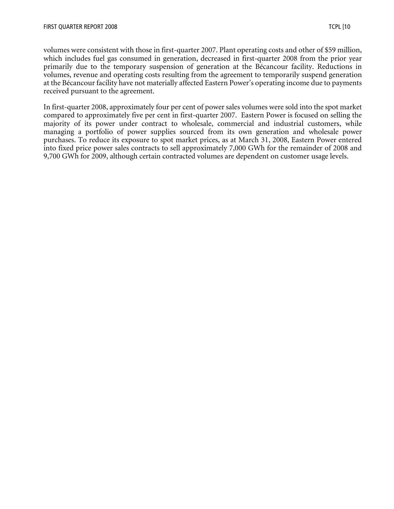volumes were consistent with those in first-quarter 2007. Plant operating costs and other of \$59 million, which includes fuel gas consumed in generation, decreased in first-quarter 2008 from the prior year primarily due to the temporary suspension of generation at the Bécancour facility. Reductions in volumes, revenue and operating costs resulting from the agreement to temporarily suspend generation at the Bécancour facility have not materially affected Eastern Power's operating income due to payments received pursuant to the agreement.

In first-quarter 2008, approximately four per cent of power sales volumes were sold into the spot market compared to approximately five per cent in first-quarter 2007. Eastern Power is focused on selling the majority of its power under contract to wholesale, commercial and industrial customers, while managing a portfolio of power supplies sourced from its own generation and wholesale power purchases. To reduce its exposure to spot market prices, as at March 31, 2008, Eastern Power entered into fixed price power sales contracts to sell approximately 7,000 GWh for the remainder of 2008 and 9,700 GWh for 2009, although certain contracted volumes are dependent on customer usage levels.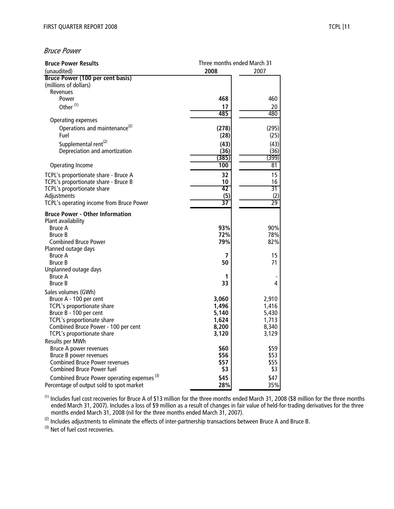#### Bruce Power

| <b>Bruce Power Results</b>                                   |                | Three months ended March 31 |  |  |
|--------------------------------------------------------------|----------------|-----------------------------|--|--|
| (unaudited)                                                  | 2008           | 2007                        |  |  |
| Bruce Power (100 per cent basis)<br>(millions of dollars)    |                |                             |  |  |
| Revenues<br>Power                                            | 468            | 460                         |  |  |
|                                                              |                |                             |  |  |
| Other <sup>(1)</sup>                                         | 17<br>485      | 20<br>480                   |  |  |
| <b>Operating expenses</b>                                    |                |                             |  |  |
| Operations and maintenance <sup>(2)</sup><br>Fuel            | (278)<br>(28)  | (295)<br>(25)               |  |  |
| Supplemental rent <sup>(2)</sup>                             | (43)           | (43)                        |  |  |
| Depreciation and amortization                                | (36)           | (36)                        |  |  |
|                                                              | (385)          | (399)                       |  |  |
| Operating Income                                             | 100            | 81                          |  |  |
| TCPL's proportionate share - Bruce A                         | 32             | 15                          |  |  |
| TCPL's proportionate share - Bruce B                         | 10             | 16                          |  |  |
| TCPL's proportionate share                                   | 42             | 31                          |  |  |
| Adjustments                                                  | (5)            | (2)                         |  |  |
| TCPL's operating income from Bruce Power                     | 37             | $\overline{29}$             |  |  |
| <b>Bruce Power - Other Information</b><br>Plant availability |                |                             |  |  |
| <b>Bruce A</b>                                               | 93%            | 90%                         |  |  |
| Bruce B                                                      | 72%            | 78%                         |  |  |
| <b>Combined Bruce Power</b>                                  | 79%            | 82%                         |  |  |
| Planned outage days                                          |                |                             |  |  |
| <b>Bruce A</b>                                               | 7              | 15                          |  |  |
| <b>Bruce B</b>                                               | 50             | 71                          |  |  |
| Unplanned outage days                                        |                |                             |  |  |
| Bruce A<br><b>Bruce B</b>                                    | 1<br>33        | 4                           |  |  |
|                                                              |                |                             |  |  |
| Sales volumes (GWh)                                          |                |                             |  |  |
| Bruce A - 100 per cent                                       | 3,060          | 2,910                       |  |  |
| TCPL's proportionate share<br>Bruce B - 100 per cent         | 1,496<br>5,140 | 1,416<br>5,430              |  |  |
| TCPL's proportionate share                                   | 1,624          | 1,713                       |  |  |
| Combined Bruce Power - 100 per cent                          | 8,200          | 8,340                       |  |  |
| TCPL's proportionate share                                   | 3,120          | 3,129                       |  |  |
| Results per MWh                                              |                |                             |  |  |
| Bruce A power revenues                                       | \$60           | \$59                        |  |  |
| Bruce B power revenues                                       | \$56           | \$53                        |  |  |
| <b>Combined Bruce Power revenues</b>                         | \$57           | \$55                        |  |  |
| <b>Combined Bruce Power fuel</b>                             | \$3            | \$3                         |  |  |
| Combined Bruce Power operating expenses <sup>(3)</sup>       | \$45           | \$47                        |  |  |
| Percentage of output sold to spot market                     | 28%            | 35%                         |  |  |

 $^{(1)}$  Includes fuel cost recoveries for Bruce A of \$13 million for the three months ended March 31, 2008 (\$8 million for the three months ended March 31, 2007). Includes a loss of \$9 million as a result of changes in fair value of held-for-trading derivatives for the three months ended March 31, 2008 (nil for the three months ended March 31, 2007).

 $(2)$  Includes adjustments to eliminate the effects of inter-partnership transactions between Bruce A and Bruce B.

(3) Net of fuel cost recoveries.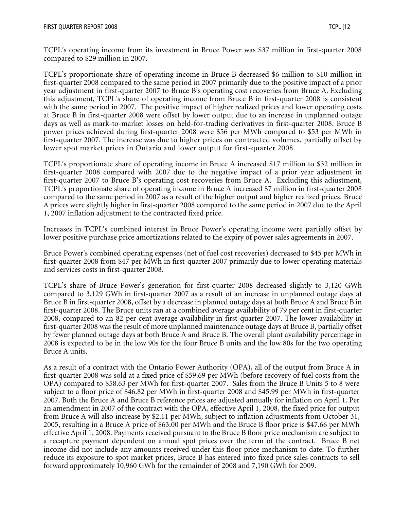TCPL's operating income from its investment in Bruce Power was \$37 million in first-quarter 2008 compared to \$29 million in 2007.

TCPL's proportionate share of operating income in Bruce B decreased \$6 million to \$10 million in first-quarter 2008 compared to the same period in 2007 primarily due to the positive impact of a prior year adjustment in first-quarter 2007 to Bruce B's operating cost recoveries from Bruce A. Excluding this adjustment, TCPL's share of operating income from Bruce B in first-quarter 2008 is consistent with the same period in 2007. The positive impact of higher realized prices and lower operating costs at Bruce B in first-quarter 2008 were offset by lower output due to an increase in unplanned outage days as well as mark-to-market losses on held-for-trading derivatives in first-quarter 2008. Bruce B power prices achieved during first-quarter 2008 were \$56 per MWh compared to \$53 per MWh in first-quarter 2007. The increase was due to higher prices on contracted volumes, partially offset by lower spot market prices in Ontario and lower output for first-quarter 2008.

TCPL's proportionate share of operating income in Bruce A increased \$17 million to \$32 million in first-quarter 2008 compared with 2007 due to the negative impact of a prior year adjustment in first-quarter 2007 to Bruce B's operating cost recoveries from Bruce A. Excluding this adjustment, TCPL's proportionate share of operating income in Bruce A increased \$7 million in first-quarter 2008 compared to the same period in 2007 as a result of the higher output and higher realized prices. Bruce A prices were slightly higher in first-quarter 2008 compared to the same period in 2007 due to the April 1, 2007 inflation adjustment to the contracted fixed price.

Increases in TCPL's combined interest in Bruce Power's operating income were partially offset by lower positive purchase price amortizations related to the expiry of power sales agreements in 2007.

Bruce Power's combined operating expenses (net of fuel cost recoveries) decreased to \$45 per MWh in first-quarter 2008 from \$47 per MWh in first-quarter 2007 primarily due to lower operating materials and services costs in first-quarter 2008.

TCPL's share of Bruce Power's generation for first-quarter 2008 decreased slightly to 3,120 GWh compared to 3,129 GWh in first-quarter 2007 as a result of an increase in unplanned outage days at Bruce B in first-quarter 2008, offset by a decrease in planned outage days at both Bruce A and Bruce B in first-quarter 2008. The Bruce units ran at a combined average availability of 79 per cent in first-quarter 2008, compared to an 82 per cent average availability in first-quarter 2007. The lower availability in first-quarter 2008 was the result of more unplanned maintenance outage days at Bruce B, partially offset by fewer planned outage days at both Bruce A and Bruce B. The overall plant availability percentage in 2008 is expected to be in the low 90s for the four Bruce B units and the low 80s for the two operating Bruce A units.

As a result of a contract with the Ontario Power Authority (OPA), all of the output from Bruce A in first-quarter 2008 was sold at a fixed price of \$59.69 per MWh (before recovery of fuel costs from the OPA) compared to \$58.63 per MWh for first-quarter 2007. Sales from the Bruce B Units 5 to 8 were subject to a floor price of \$46.82 per MWh in first-quarter 2008 and \$45.99 per MWh in first-quarter 2007. Both the Bruce A and Bruce B reference prices are adjusted annually for inflation on April 1. Per an amendment in 2007 of the contract with the OPA, effective April 1, 2008, the fixed price for output from Bruce A will also increase by \$2.11 per MWh, subject to inflation adjustments from October 31, 2005, resulting in a Bruce A price of \$63.00 per MWh and the Bruce B floor price is \$47.66 per MWh effective April 1, 2008. Payments received pursuant to the Bruce B floor price mechanism are subject to a recapture payment dependent on annual spot prices over the term of the contract. Bruce B net income did not include any amounts received under this floor price mechanism to date. To further reduce its exposure to spot market prices, Bruce B has entered into fixed price sales contracts to sell forward approximately 10,960 GWh for the remainder of 2008 and 7,190 GWh for 2009.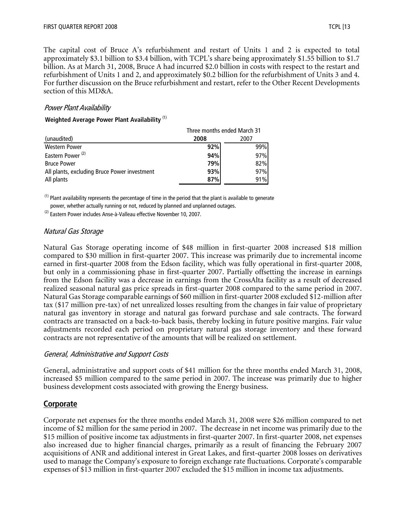The capital cost of Bruce A's refurbishment and restart of Units 1 and 2 is expected to total approximately \$3.1 billion to \$3.4 billion, with TCPL's share being approximately \$1.55 billion to \$1.7 billion. As at March 31, 2008, Bruce A had incurred \$2.0 billion in costs with respect to the restart and refurbishment of Units 1 and 2, and approximately \$0.2 billion for the refurbishment of Units 3 and 4. For further discussion on the Bruce refurbishment and restart, refer to the Other Recent Developments section of this MD&A.

#### Power Plant Availability

#### **Weighted Average Power Plant Availability** (1)

|                                              | Three months ended March 31 |      |  |
|----------------------------------------------|-----------------------------|------|--|
| (unaudited)                                  | 2008                        | 2007 |  |
| <b>Western Power</b>                         | 92%                         | 99%  |  |
| Eastern Power <sup>(2)</sup>                 | 94%                         | 97%  |  |
| <b>Bruce Power</b>                           | 79%                         | 82%  |  |
| All plants, excluding Bruce Power investment | 93%                         | 97%  |  |
| All plants                                   | 87%                         | 91%  |  |

<sup>(1)</sup> Plant availability represents the percentage of time in the period that the plant is available to generate power, whether actually running or not, reduced by planned and unplanned outages.

(2) Eastern Power includes Anse-à-Valleau effective November 10, 2007.

#### Natural Gas Storage

Natural Gas Storage operating income of \$48 million in first-quarter 2008 increased \$18 million compared to \$30 million in first-quarter 2007. This increase was primarily due to incremental income earned in first-quarter 2008 from the Edson facility, which was fully operational in first-quarter 2008, but only in a commissioning phase in first-quarter 2007. Partially offsetting the increase in earnings from the Edson facility was a decrease in earnings from the CrossAlta facility as a result of decreased realized seasonal natural gas price spreads in first-quarter 2008 compared to the same period in 2007. Natural Gas Storage comparable earnings of \$60 million in first-quarter 2008 excluded \$12-million after tax (\$17 million pre-tax) of net unrealized losses resulting from the changes in fair value of proprietary natural gas inventory in storage and natural gas forward purchase and sale contracts. The forward contracts are transacted on a back-to-back basis, thereby locking in future positive margins. Fair value adjustments recorded each period on proprietary natural gas storage inventory and these forward contracts are not representative of the amounts that will be realized on settlement.

#### General, Administrative and Support Costs

General, administrative and support costs of \$41 million for the three months ended March 31, 2008, increased \$5 million compared to the same period in 2007. The increase was primarily due to higher business development costs associated with growing the Energy business.

## **Corporate**

Corporate net expenses for the three months ended March 31, 2008 were \$26 million compared to net income of \$2 million for the same period in 2007. The decrease in net income was primarily due to the \$15 million of positive income tax adjustments in first-quarter 2007. In first-quarter 2008, net expenses also increased due to higher financial charges, primarily as a result of financing the February 2007 acquisitions of ANR and additional interest in Great Lakes, and first-quarter 2008 losses on derivatives used to manage the Company's exposure to foreign exchange rate fluctuations. Corporate's comparable expenses of \$13 million in first-quarter 2007 excluded the \$15 million in income tax adjustments.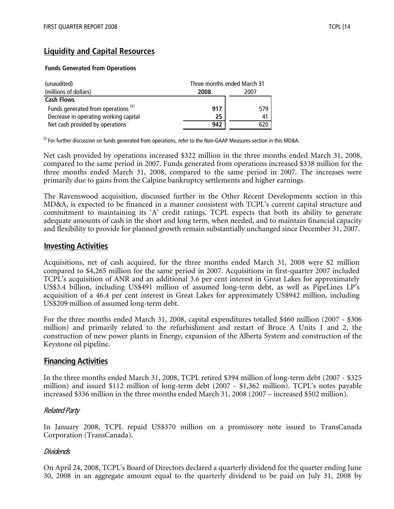# **Liquidity and Capital Resources**

#### **Funds Generated from Operations**

| (unaudited)                                    |      | Three months ended March 31 |  |  |
|------------------------------------------------|------|-----------------------------|--|--|
| (millions of dollars)                          | 2008 | 2007                        |  |  |
| <b>Cash Flows</b>                              |      |                             |  |  |
| Funds generated from operations <sup>(1)</sup> | 917  | 579                         |  |  |
| Decrease in operating working capital          | 25   | 41                          |  |  |
| Net cash provided by operations                | 942  | 620-                        |  |  |

 $<sup>(1)</sup>$  For further discussion on funds generated from operations, refer to the Non-GAAP Measures section in this MD&A.</sup>

Net cash provided by operations increased \$322 million in the three months ended March 31, 2008, compared to the same period in 2007. Funds generated from operations increased \$338 million for the three months ended March 31, 2008, compared to the same period in 2007. The increases were primarily due to gains from the Calpine bankruptcy settlements and higher earnings.

The Ravenswood acquisition, discussed further in the Other Recent Developments section in this MD&A, is expected to be financed in a manner consistent with TCPL's current capital structure and commitment to maintaining its 'A' credit ratings. TCPL expects that both its ability to generate adequate amounts of cash in the short and long term, when needed, and to maintain financial capacity and flexibility to provide for planned growth remain substantially unchanged since December 31, 2007.

#### **Investing Activities**

Acquisitions, net of cash acquired, for the three months ended March 31, 2008 were \$2 million compared to \$4,265 million for the same period in 2007. Acquisitions in first-quarter 2007 included TCPL's acquisition of ANR and an additional 3.6 per cent interest in Great Lakes for approximately US\$3.4 billion, including US\$491 million of assumed long-term debt, as well as PipeLines LP's acquisition of a 46.4 per cent interest in Great Lakes for approximately US\$942 million, including US\$209 million of assumed long-term debt.

For the three months ended March 31, 2008, capital expenditures totalled \$460 million (2007 - \$306 million) and primarily related to the refurbishment and restart of Bruce A Units 1 and 2, the construction of new power plants in Energy, expansion of the Alberta System and construction of the Keystone oil pipeline.

## **Financing Activities**

In the three months ended March 31, 2008, TCPL retired \$394 million of long-term debt (2007 - \$325 million) and issued \$112 million of long-term debt (2007 - \$1,362 million). TCPL's notes payable increased \$336 million in the three months ended March 31, 2008 (2007 – increased \$502 million).

#### Related Party

In January 2008, TCPL repaid US\$370 million on a promissory note issued to TransCanada Corporation (TransCanada).

#### Dividends

On April 24, 2008, TCPL's Board of Directors declared a quarterly dividend for the quarter ending June 30, 2008 in an aggregate amount equal to the quarterly dividend to be paid on July 31, 2008 by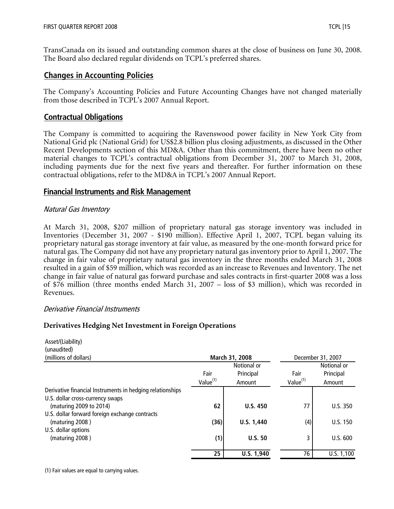TransCanada on its issued and outstanding common shares at the close of business on June 30, 2008. The Board also declared regular dividends on TCPL's preferred shares.

## **Changes in Accounting Policies**

The Company's Accounting Policies and Future Accounting Changes have not changed materially from those described in TCPL's 2007 Annual Report.

#### **Contractual Obligations**

The Company is committed to acquiring the Ravenswood power facility in New York City from National Grid plc (National Grid) for US\$2.8 billion plus closing adjustments, as discussed in the Other Recent Developments section of this MD&A. Other than this commitment, there have been no other material changes to TCPL's contractual obligations from December 31, 2007 to March 31, 2008, including payments due for the next five years and thereafter. For further information on these contractual obligations, refer to the MD&A in TCPL's 2007 Annual Report.

#### **Financial Instruments and Risk Management**

#### Natural Gas Inventory

At March 31, 2008, \$207 million of proprietary natural gas storage inventory was included in Inventories (December 31, 2007 - \$190 million). Effective April 1, 2007, TCPL began valuing its proprietary natural gas storage inventory at fair value, as measured by the one-month forward price for natural gas. The Company did not have any proprietary natural gas inventory prior to April 1, 2007. The change in fair value of proprietary natural gas inventory in the three months ended March 31, 2008 resulted in a gain of \$59 million, which was recorded as an increase to Revenues and Inventory. The net change in fair value of natural gas forward purchase and sales contracts in first-quarter 2008 was a loss of \$76 million (three months ended March 31, 2007 – loss of \$3 million), which was recorded in Revenues.

#### Derivative Financial Instruments

#### **Derivatives Hedging Net Investment in Foreign Operations**

| Asset/(Liability)                                         |                      |                 |                      |                   |
|-----------------------------------------------------------|----------------------|-----------------|----------------------|-------------------|
| (unaudited)                                               |                      |                 |                      |                   |
| (millions of dollars)                                     |                      | March 31, 2008  |                      | December 31, 2007 |
|                                                           |                      | Notional or     |                      | Notional or       |
|                                                           | Fair                 | Principal       | Fair                 | Principal         |
|                                                           | Value <sup>(1)</sup> | Amount          | Value <sup>(1)</sup> | Amount            |
| Derivative financial Instruments in hedging relationships |                      |                 |                      |                   |
| U.S. dollar cross-currency swaps                          |                      |                 |                      |                   |
| (maturing 2009 to 2014)                                   | 62                   | <b>U.S. 450</b> | 77                   | U.S.350           |
| U.S. dollar forward foreign exchange contracts            |                      |                 |                      |                   |
| (maturing 2008)                                           | (36)                 | U.S. 1,440      | (4)                  | U.S. 150          |
| U.S. dollar options                                       |                      |                 |                      |                   |
| (maturing 2008)                                           | (1)                  | U.S.50          | 3                    | U.S. 600          |
|                                                           | 25                   | U.S. 1,940      | 76                   | U.S. 1,100        |

(1) Fair values are equal to carrying values.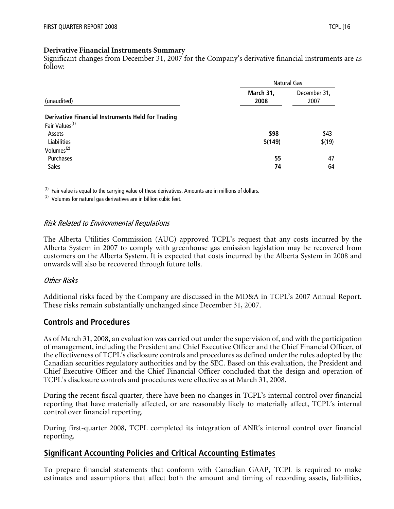#### **Derivative Financial Instruments Summary**

Significant changes from December 31, 2007 for the Company's derivative financial instruments are as follow:

|                                                          | Natural Gas       |                      |  |
|----------------------------------------------------------|-------------------|----------------------|--|
| (unaudited)                                              | March 31,<br>2008 | December 31,<br>2007 |  |
| <b>Derivative Financial Instruments Held for Trading</b> |                   |                      |  |
| Fair Values <sup>(1)</sup>                               |                   |                      |  |
| Assets                                                   | \$98              | \$43                 |  |
| Liabilities                                              | \$(149)           | \$(19)               |  |
| Volumes <sup>(2)</sup>                                   |                   |                      |  |
| Purchases                                                | 55                | 47                   |  |
| <b>Sales</b>                                             | 74                | 64                   |  |

 $<sup>(1)</sup>$  Fair value is equal to the carrying value of these derivatives. Amounts are in millions of dollars.</sup>

 $(2)$  Volumes for natural gas derivatives are in billion cubic feet.

#### Risk Related to Environmental Regulations

The Alberta Utilities Commission (AUC) approved TCPL's request that any costs incurred by the Alberta System in 2007 to comply with greenhouse gas emission legislation may be recovered from customers on the Alberta System. It is expected that costs incurred by the Alberta System in 2008 and onwards will also be recovered through future tolls.

#### Other Risks

Additional risks faced by the Company are discussed in the MD&A in TCPL's 2007 Annual Report. These risks remain substantially unchanged since December 31, 2007.

#### **Controls and Procedures**

As of March 31, 2008, an evaluation was carried out under the supervision of, and with the participation of management, including the President and Chief Executive Officer and the Chief Financial Officer, of the effectiveness of TCPL's disclosure controls and procedures as defined under the rules adopted by the Canadian securities regulatory authorities and by the SEC. Based on this evaluation, the President and Chief Executive Officer and the Chief Financial Officer concluded that the design and operation of TCPL's disclosure controls and procedures were effective as at March 31, 2008.

During the recent fiscal quarter, there have been no changes in TCPL's internal control over financial reporting that have materially affected, or are reasonably likely to materially affect, TCPL's internal control over financial reporting.

During first-quarter 2008, TCPL completed its integration of ANR's internal control over financial reporting.

## **Significant Accounting Policies and Critical Accounting Estimates**

To prepare financial statements that conform with Canadian GAAP, TCPL is required to make estimates and assumptions that affect both the amount and timing of recording assets, liabilities,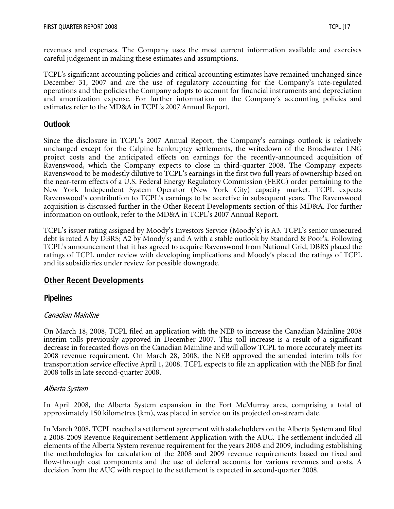revenues and expenses. The Company uses the most current information available and exercises careful judgement in making these estimates and assumptions.

TCPL's significant accounting policies and critical accounting estimates have remained unchanged since December 31, 2007 and are the use of regulatory accounting for the Company's rate-regulated operations and the policies the Company adopts to account for financial instruments and depreciation and amortization expense. For further information on the Company's accounting policies and estimates refer to the MD&A in TCPL's 2007 Annual Report.

## **Outlook**

Since the disclosure in TCPL's 2007 Annual Report, the Company's earnings outlook is relatively unchanged except for the Calpine bankruptcy settlements, the writedown of the Broadwater LNG project costs and the anticipated effects on earnings for the recently-announced acquisition of Ravenswood, which the Company expects to close in third-quarter 2008. The Company expects Ravenswood to be modestly dilutive to TCPL's earnings in the first two full years of ownership based on the near-term effects of a U.S. Federal Energy Regulatory Commission (FERC) order pertaining to the New York Independent System Operator (New York City) capacity market. TCPL expects Ravenswood's contribution to TCPL's earnings to be accretive in subsequent years. The Ravenswood acquisition is discussed further in the Other Recent Developments section of this MD&A. For further information on outlook, refer to the MD&A in TCPL's 2007 Annual Report.

TCPL's issuer rating assigned by Moody's Investors Service (Moody's) is A3. TCPL's senior unsecured debt is rated A by DBRS; A2 by Moody's; and A with a stable outlook by Standard & Poor's. Following TCPL's announcement that it has agreed to acquire Ravenswood from National Grid, DBRS placed the ratings of TCPL under review with developing implications and Moody's placed the ratings of TCPL and its subsidiaries under review for possible downgrade.

## **Other Recent Developments**

## **Pipelines**

#### Canadian Mainline

On March 18, 2008, TCPL filed an application with the NEB to increase the Canadian Mainline 2008 interim tolls previously approved in December 2007. This toll increase is a result of a significant decrease in forecasted flows on the Canadian Mainline and will allow TCPL to more accurately meet its 2008 revenue requirement. On March 28, 2008, the NEB approved the amended interim tolls for transportation service effective April 1, 2008. TCPL expects to file an application with the NEB for final 2008 tolls in late second-quarter 2008.

#### Alberta System

In April 2008, the Alberta System expansion in the Fort McMurray area, comprising a total of approximately 150 kilometres (km), was placed in service on its projected on-stream date.

In March 2008, TCPL reached a settlement agreement with stakeholders on the Alberta System and filed a 2008-2009 Revenue Requirement Settlement Application with the AUC. The settlement included all elements of the Alberta System revenue requirement for the years 2008 and 2009, including establishing the methodologies for calculation of the 2008 and 2009 revenue requirements based on fixed and flow-through cost components and the use of deferral accounts for various revenues and costs. A decision from the AUC with respect to the settlement is expected in second-quarter 2008.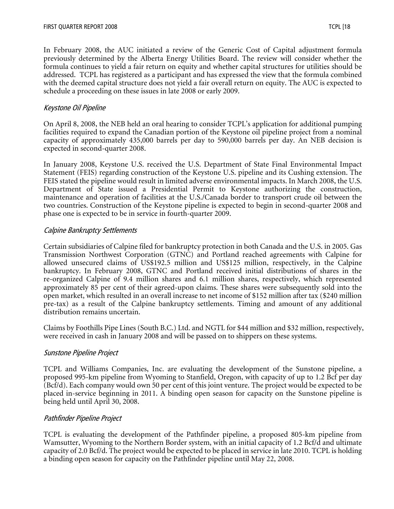In February 2008, the AUC initiated a review of the Generic Cost of Capital adjustment formula previously determined by the Alberta Energy Utilities Board. The review will consider whether the formula continues to yield a fair return on equity and whether capital structures for utilities should be addressed. TCPL has registered as a participant and has expressed the view that the formula combined with the deemed capital structure does not yield a fair overall return on equity. The AUC is expected to schedule a proceeding on these issues in late 2008 or early 2009.

#### Keystone Oil Pipeline

On April 8, 2008, the NEB held an oral hearing to consider TCPL's application for additional pumping facilities required to expand the Canadian portion of the Keystone oil pipeline project from a nominal capacity of approximately 435,000 barrels per day to 590,000 barrels per day. An NEB decision is expected in second-quarter 2008.

In January 2008, Keystone U.S. received the U.S. Department of State Final Environmental Impact Statement (FEIS) regarding construction of the Keystone U.S. pipeline and its Cushing extension. The FEIS stated the pipeline would result in limited adverse environmental impacts. In March 2008, the U.S. Department of State issued a Presidential Permit to Keystone authorizing the construction, maintenance and operation of facilities at the U.S./Canada border to transport crude oil between the two countries. Construction of the Keystone pipeline is expected to begin in second-quarter 2008 and phase one is expected to be in service in fourth-quarter 2009.

#### Calpine Bankruptcy Settlements

Certain subsidiaries of Calpine filed for bankruptcy protection in both Canada and the U.S. in 2005. Gas Transmission Northwest Corporation (GTNC) and Portland reached agreements with Calpine for allowed unsecured claims of US\$192.5 million and US\$125 million, respectively, in the Calpine bankruptcy. In February 2008, GTNC and Portland received initial distributions of shares in the re-organized Calpine of 9.4 million shares and 6.1 million shares, respectively, which represented approximately 85 per cent of their agreed-upon claims. These shares were subsequently sold into the open market, which resulted in an overall increase to net income of \$152 million after tax (\$240 million pre-tax) as a result of the Calpine bankruptcy settlements. Timing and amount of any additional distribution remains uncertain.

Claims by Foothills Pipe Lines (South B.C.) Ltd. and NGTL for \$44 million and \$32 million, respectively, were received in cash in January 2008 and will be passed on to shippers on these systems.

#### Sunstone Pipeline Project

TCPL and Williams Companies, Inc. are evaluating the development of the Sunstone pipeline, a proposed 995-km pipeline from Wyoming to Stanfield, Oregon, with capacity of up to 1.2 Bcf per day (Bcf/d). Each company would own 50 per cent of this joint venture. The project would be expected to be placed in-service beginning in 2011. A binding open season for capacity on the Sunstone pipeline is being held until April 30, 2008.

#### Pathfinder Pipeline Project

TCPL is evaluating the development of the Pathfinder pipeline, a proposed 805-km pipeline from Wamsutter, Wyoming to the Northern Border system, with an initial capacity of 1.2 Bcf/d and ultimate capacity of 2.0 Bcf/d. The project would be expected to be placed in service in late 2010. TCPL is holding a binding open season for capacity on the Pathfinder pipeline until May 22, 2008.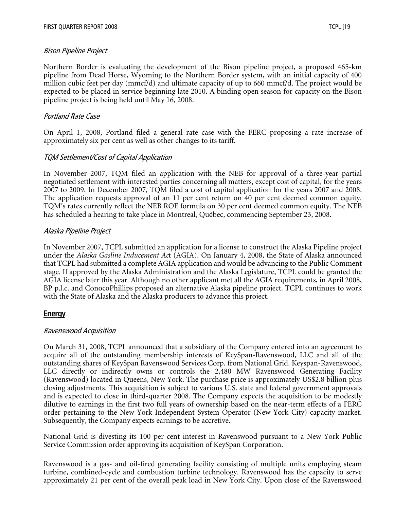#### Bison Pipeline Project

Northern Border is evaluating the development of the Bison pipeline project, a proposed 465-km pipeline from Dead Horse, Wyoming to the Northern Border system, with an initial capacity of 400 million cubic feet per day (mmcf/d) and ultimate capacity of up to 660 mmcf/d. The project would be expected to be placed in service beginning late 2010. A binding open season for capacity on the Bison pipeline project is being held until May 16, 2008.

#### Portland Rate Case

On April 1, 2008, Portland filed a general rate case with the FERC proposing a rate increase of approximately six per cent as well as other changes to its tariff.

#### TQM Settlement/Cost of Capital Application

In November 2007, TQM filed an application with the NEB for approval of a three-year partial negotiated settlement with interested parties concerning all matters, except cost of capital, for the years 2007 to 2009. In December 2007, TQM filed a cost of capital application for the years 2007 and 2008. The application requests approval of an 11 per cent return on 40 per cent deemed common equity. TQM's rates currently reflect the NEB ROE formula on 30 per cent deemed common equity. The NEB has scheduled a hearing to take place in Montreal, Québec, commencing September 23, 2008.

#### Alaska Pipeline Project

In November 2007, TCPL submitted an application for a license to construct the Alaska Pipeline project under the *Alaska Gasline Inducement Ac*t (AGIA). On January 4, 2008, the State of Alaska announced that TCPL had submitted a complete AGIA application and would be advancing to the Public Comment stage. If approved by the Alaska Administration and the Alaska Legislature, TCPL could be granted the AGIA license later this year. Although no other applicant met all the AGIA requirements, in April 2008, BP p.l.c. and ConocoPhillips proposed an alternative Alaska pipeline project. TCPL continues to work with the State of Alaska and the Alaska producers to advance this project.

## **Energy**

#### Ravenswood Acquisition

On March 31, 2008, TCPL announced that a subsidiary of the Company entered into an agreement to acquire all of the outstanding membership interests of KeySpan-Ravenswood, LLC and all of the outstanding shares of KeySpan Ravenswood Services Corp. from National Grid. Keyspan-Ravenswood, LLC directly or indirectly owns or controls the 2,480 MW Ravenswood Generating Facility (Ravenswood) located in Queens, New York. The purchase price is approximately US\$2.8 billion plus closing adjustments. This acquisition is subject to various U.S. state and federal government approvals and is expected to close in third-quarter 2008. The Company expects the acquisition to be modestly dilutive to earnings in the first two full years of ownership based on the near-term effects of a FERC order pertaining to the New York Independent System Operator (New York City) capacity market. Subsequently, the Company expects earnings to be accretive.

National Grid is divesting its 100 per cent interest in Ravenswood pursuant to a New York Public Service Commission order approving its acquisition of KeySpan Corporation.

Ravenswood is a gas- and oil-fired generating facility consisting of multiple units employing steam turbine, combined-cycle and combustion turbine technology. Ravenswood has the capacity to serve approximately 21 per cent of the overall peak load in New York City. Upon close of the Ravenswood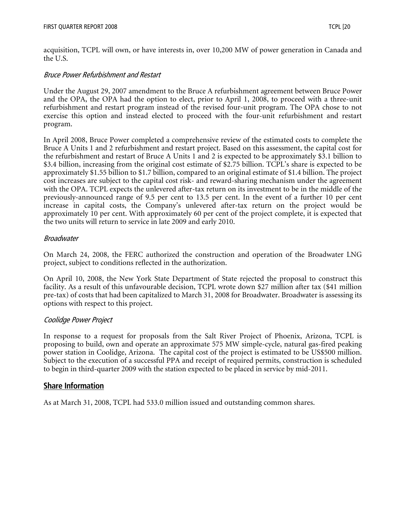acquisition, TCPL will own, or have interests in, over 10,200 MW of power generation in Canada and the U.S.

#### Bruce Power Refurbishment and Restart

Under the August 29, 2007 amendment to the Bruce A refurbishment agreement between Bruce Power and the OPA, the OPA had the option to elect, prior to April 1, 2008, to proceed with a three-unit refurbishment and restart program instead of the revised four-unit program. The OPA chose to not exercise this option and instead elected to proceed with the four-unit refurbishment and restart program.

In April 2008, Bruce Power completed a comprehensive review of the estimated costs to complete the Bruce A Units 1 and 2 refurbishment and restart project. Based on this assessment, the capital cost for the refurbishment and restart of Bruce A Units 1 and 2 is expected to be approximately \$3.1 billion to \$3.4 billion, increasing from the original cost estimate of \$2.75 billion. TCPL's share is expected to be approximately \$1.55 billion to \$1.7 billion, compared to an original estimate of \$1.4 billion. The project cost increases are subject to the capital cost risk- and reward-sharing mechanism under the agreement with the OPA. TCPL expects the unlevered after-tax return on its investment to be in the middle of the previously-announced range of 9.5 per cent to 13.5 per cent. In the event of a further 10 per cent increase in capital costs, the Company's unlevered after-tax return on the project would be approximately 10 per cent. With approximately 60 per cent of the project complete, it is expected that the two units will return to service in late 2009 and early 2010.

#### Broadwater

On March 24, 2008, the FERC authorized the construction and operation of the Broadwater LNG project, subject to conditions reflected in the authorization.

On April 10, 2008, the New York State Department of State rejected the proposal to construct this facility. As a result of this unfavourable decision, TCPL wrote down \$27 million after tax (\$41 million pre-tax) of costs that had been capitalized to March 31, 2008 for Broadwater. Broadwater is assessing its options with respect to this project.

## Coolidge Power Project

In response to a request for proposals from the Salt River Project of Phoenix, Arizona, TCPL is proposing to build, own and operate an approximate 575 MW simple-cycle, natural gas-fired peaking power station in Coolidge, Arizona. The capital cost of the project is estimated to be US\$500 million. Subject to the execution of a successful PPA and receipt of required permits, construction is scheduled to begin in third-quarter 2009 with the station expected to be placed in service by mid-2011.

## **Share Information**

As at March 31, 2008, TCPL had 533.0 million issued and outstanding common shares.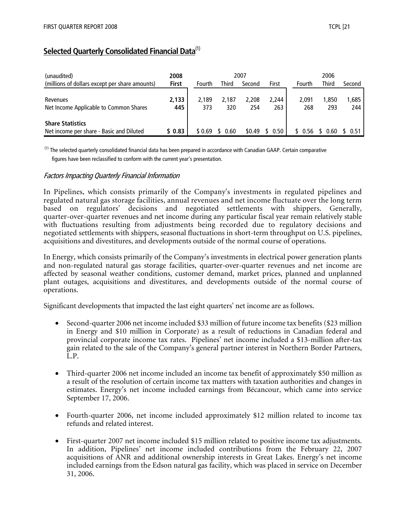# **Selected Quarterly Consolidated Financial Data**(1)

| (unaudited)                                                         | 2008         |              |              | 2007         |              |              | 2006         |              |
|---------------------------------------------------------------------|--------------|--------------|--------------|--------------|--------------|--------------|--------------|--------------|
| (millions of dollars except per share amounts)                      | <b>First</b> | Fourth       | <b>Third</b> | Second       | First        | Fourth       | <b>Third</b> | Second       |
| Revenues<br>Net Income Applicable to Common Shares                  | 2,133<br>445 | 2.189<br>373 | 2.187<br>320 | 2.208<br>254 | 2.244<br>263 | 2.091<br>268 | 1.850<br>293 | 1,685<br>244 |
| <b>Share Statistics</b><br>Net income per share - Basic and Diluted | \$0.83       | \$ 0.69      | 0.60         | \$0.49       | 0.50         | 56           | -60          | 0.51         |

 $<sup>(1)</sup>$  The selected quarterly consolidated financial data has been prepared in accordance with Canadian GAAP. Certain comparative</sup> figures have been reclassified to conform with the current year's presentation.

#### Factors Impacting Quarterly Financial Information

In Pipelines, which consists primarily of the Company's investments in regulated pipelines and regulated natural gas storage facilities, annual revenues and net income fluctuate over the long term based on regulators' decisions and negotiated settlements with shippers. Generally, quarter-over-quarter revenues and net income during any particular fiscal year remain relatively stable with fluctuations resulting from adjustments being recorded due to regulatory decisions and negotiated settlements with shippers, seasonal fluctuations in short-term throughput on U.S. pipelines, acquisitions and divestitures, and developments outside of the normal course of operations.

In Energy, which consists primarily of the Company's investments in electrical power generation plants and non-regulated natural gas storage facilities, quarter-over-quarter revenues and net income are affected by seasonal weather conditions, customer demand, market prices, planned and unplanned plant outages, acquisitions and divestitures, and developments outside of the normal course of operations.

Significant developments that impacted the last eight quarters' net income are as follows.

- Second-quarter 2006 net income included \$33 million of future income tax benefits (\$23 million in Energy and \$10 million in Corporate) as a result of reductions in Canadian federal and provincial corporate income tax rates. Pipelines' net income included a \$13-million after-tax gain related to the sale of the Company's general partner interest in Northern Border Partners, L.P.
- Third-quarter 2006 net income included an income tax benefit of approximately \$50 million as a result of the resolution of certain income tax matters with taxation authorities and changes in estimates. Energy's net income included earnings from Bécancour, which came into service September 17, 2006.
- Fourth-quarter 2006, net income included approximately \$12 million related to income tax refunds and related interest.
- First-quarter 2007 net income included \$15 million related to positive income tax adjustments. In addition, Pipelines' net income included contributions from the February 22, 2007 acquisitions of ANR and additional ownership interests in Great Lakes. Energy's net income included earnings from the Edson natural gas facility, which was placed in service on December 31, 2006.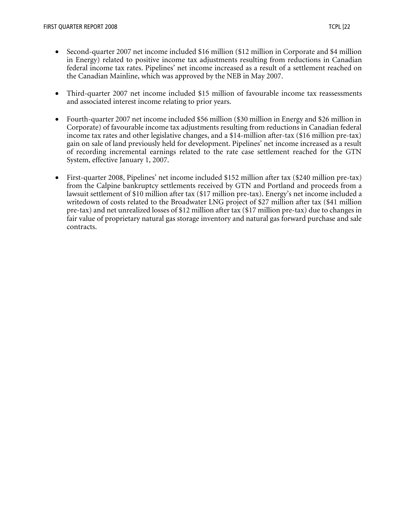- Second-quarter 2007 net income included \$16 million (\$12 million in Corporate and \$4 million in Energy) related to positive income tax adjustments resulting from reductions in Canadian federal income tax rates. Pipelines' net income increased as a result of a settlement reached on the Canadian Mainline, which was approved by the NEB in May 2007.
- Third-quarter 2007 net income included \$15 million of favourable income tax reassessments and associated interest income relating to prior years.
- Fourth-quarter 2007 net income included \$56 million (\$30 million in Energy and \$26 million in Corporate) of favourable income tax adjustments resulting from reductions in Canadian federal income tax rates and other legislative changes, and a \$14-million after-tax (\$16 million pre-tax) gain on sale of land previously held for development. Pipelines' net income increased as a result of recording incremental earnings related to the rate case settlement reached for the GTN System, effective January 1, 2007.
- First-quarter 2008, Pipelines' net income included \$152 million after tax (\$240 million pre-tax) from the Calpine bankruptcy settlements received by GTN and Portland and proceeds from a lawsuit settlement of \$10 million after tax (\$17 million pre-tax). Energy's net income included a writedown of costs related to the Broadwater LNG project of \$27 million after tax (\$41 million pre-tax) and net unrealized losses of \$12 million after tax (\$17 million pre-tax) due to changes in fair value of proprietary natural gas storage inventory and natural gas forward purchase and sale contracts.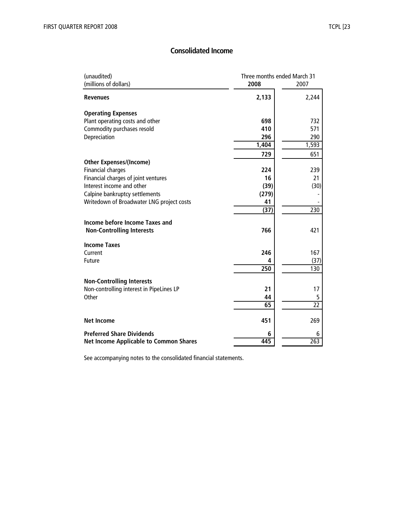## **Consolidated Income**

| (unaudited)                                   | Three months ended March 31 |          |  |
|-----------------------------------------------|-----------------------------|----------|--|
| (millions of dollars)                         | 2008                        | 2007     |  |
| <b>Revenues</b>                               | 2,133                       | 2,244    |  |
| <b>Operating Expenses</b>                     |                             |          |  |
| Plant operating costs and other               | 698                         | 732      |  |
| Commodity purchases resold                    | 410                         | 571      |  |
| Depreciation                                  | 296                         | 290      |  |
|                                               | 1,404                       | 1,593    |  |
|                                               | 729                         | 651      |  |
| <b>Other Expenses/(Income)</b>                |                             |          |  |
| <b>Financial charges</b>                      | 224                         | 239      |  |
| Financial charges of joint ventures           | 16                          | 21       |  |
| Interest income and other                     | (39)                        | (30)     |  |
| Calpine bankruptcy settlements                | (279)                       |          |  |
| Writedown of Broadwater LNG project costs     | 41                          |          |  |
|                                               | (37)                        | 230      |  |
| Income before Income Taxes and                |                             |          |  |
| <b>Non-Controlling Interests</b>              | 766                         | 421      |  |
|                                               |                             |          |  |
| <b>Income Taxes</b><br>Current                | 246                         | 167      |  |
| Future                                        | 4                           | (37)     |  |
|                                               | $\overline{250}$            | 130      |  |
|                                               |                             |          |  |
| <b>Non-Controlling Interests</b>              |                             |          |  |
| Non-controlling interest in PipeLines LP      | 21                          | 17       |  |
| Other                                         | 44                          | 5        |  |
|                                               | 65                          | 22       |  |
| <b>Net Income</b>                             | 451                         | 269      |  |
| <b>Preferred Share Dividends</b>              | 6<br>445                    | 6<br>263 |  |
| <b>Net Income Applicable to Common Shares</b> |                             |          |  |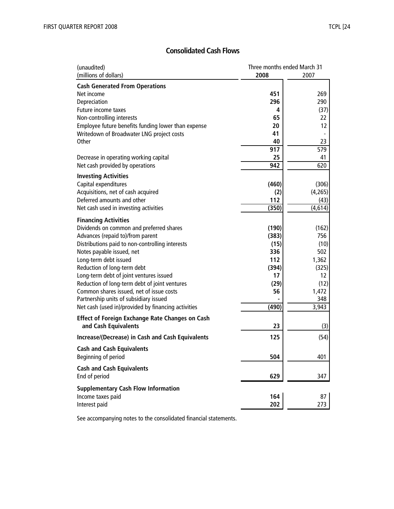## **Consolidated Cash Flows**

| (unaudited)                                            | Three months ended March 31 |         |
|--------------------------------------------------------|-----------------------------|---------|
| (millions of dollars)                                  | 2008                        | 2007    |
| <b>Cash Generated From Operations</b>                  |                             |         |
| Net income                                             | 451                         | 269     |
| Depreciation                                           | 296                         | 290     |
| Future income taxes                                    | 4                           | (37)    |
| Non-controlling interests                              | 65                          | 22      |
| Employee future benefits funding lower than expense    | 20                          | 12      |
| Writedown of Broadwater LNG project costs              | 41                          |         |
| Other                                                  | 40                          | 23      |
|                                                        | 917                         | 579     |
| Decrease in operating working capital                  | 25                          | 41      |
| Net cash provided by operations                        | 942                         | 620     |
| <b>Investing Activities</b>                            |                             |         |
| Capital expenditures                                   | (460)                       | (306)   |
| Acquisitions, net of cash acquired                     | (2)                         | (4,265) |
| Deferred amounts and other                             | 112                         | (43)    |
| Net cash used in investing activities                  | (350)                       | (4,614) |
| <b>Financing Activities</b>                            |                             |         |
| Dividends on common and preferred shares               | (190)                       | (162)   |
| Advances (repaid to)/from parent                       | (383)                       | 756     |
| Distributions paid to non-controlling interests        | (15)                        | (10)    |
| Notes payable issued, net                              | 336                         | 502     |
| Long-term debt issued                                  | 112                         | 1,362   |
| Reduction of long-term debt                            | (394)                       | (325)   |
| Long-term debt of joint ventures issued                | 17                          | 12      |
| Reduction of long-term debt of joint ventures          | (29)                        | (12)    |
| Common shares issued, net of issue costs               | 56                          | 1,472   |
| Partnership units of subsidiary issued                 |                             | 348     |
| Net cash (used in)/provided by financing activities    | (490)                       | 3,943   |
| <b>Effect of Foreign Exchange Rate Changes on Cash</b> |                             |         |
| and Cash Equivalents                                   | 23                          | (3)     |
| Increase/(Decrease) in Cash and Cash Equivalents       | 125                         | (54)    |
| <b>Cash and Cash Equivalents</b>                       |                             |         |
| Beginning of period                                    | 504                         | 401     |
| <b>Cash and Cash Equivalents</b>                       |                             |         |
| End of period                                          | 629                         | 347     |
| <b>Supplementary Cash Flow Information</b>             |                             |         |
| Income taxes paid                                      | 164                         | 87      |
| Interest paid                                          | 202                         | 273     |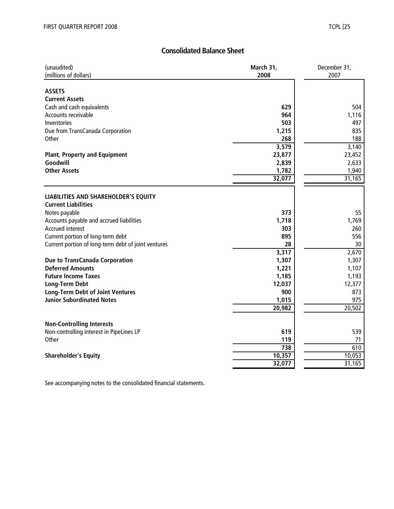## **Consolidated Balance Sheet**

| (unaudited)                                                        | March 31, | December 31, |
|--------------------------------------------------------------------|-----------|--------------|
| (millions of dollars)                                              | 2008      | 2007         |
| <b>ASSETS</b><br><b>Current Assets</b>                             |           |              |
| Cash and cash equivalents                                          | 629       | 504          |
| Accounts receivable                                                | 964       | 1,116        |
| Inventories                                                        | 503       | 497          |
| Due from TransCanada Corporation                                   | 1,215     | 835          |
| Other                                                              | 268       | 188          |
|                                                                    | 3,579     | 3,140        |
| <b>Plant, Property and Equipment</b>                               | 23,877    | 23,452       |
| Goodwill                                                           | 2,839     | 2,633        |
| <b>Other Assets</b>                                                | 1,782     | 1,940        |
|                                                                    | 32,077    | 31,165       |
|                                                                    |           |              |
| LIABILITIES AND SHAREHOLDER'S EQUITY<br><b>Current Liabilities</b> |           |              |
| Notes payable                                                      | 373       | 55           |
| Accounts payable and accrued liabilities                           | 1,718     | 1,769        |
| <b>Accrued interest</b>                                            | 303       | 260          |
| Current portion of long-term debt                                  | 895       | 556          |
| Current portion of long-term debt of joint ventures                | 28        | 30           |
|                                                                    | 3,317     | 2,670        |
| <b>Due to TransCanada Corporation</b>                              | 1,307     | 1,307        |
| <b>Deferred Amounts</b>                                            | 1,221     | 1,107        |
| <b>Future Income Taxes</b>                                         | 1,185     | 1,193        |
| <b>Long-Term Debt</b>                                              | 12,037    | 12,377       |
| <b>Long-Term Debt of Joint Ventures</b>                            | 900       | 873          |
| <b>Junior Subordinated Notes</b>                                   | 1,015     | 975          |
|                                                                    | 20,982    | 20,502       |
| <b>Non-Controlling Interests</b>                                   |           |              |
| Non-controlling interest in PipeLines LP                           | 619       | 539          |
| Other                                                              | 119       | 71           |
|                                                                    | 738       | 610          |
| <b>Shareholder's Equity</b>                                        | 10,357    | 10,053       |
|                                                                    | 32,077    | 31,165       |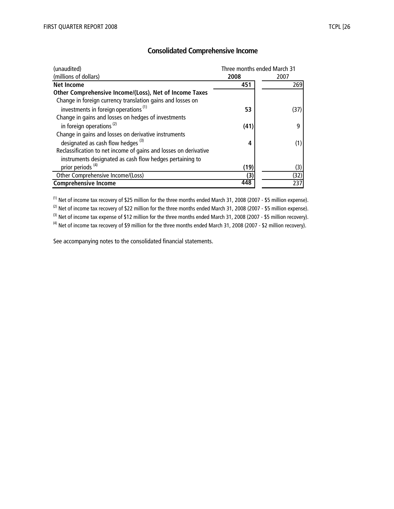| (unaudited)                                                      | Three months ended March 31 |      |
|------------------------------------------------------------------|-----------------------------|------|
| (millions of dollars)                                            | 2008                        | 2007 |
| <b>Net Income</b>                                                | 451                         | 269  |
| Other Comprehensive Income/(Loss), Net of Income Taxes           |                             |      |
| Change in foreign currency translation gains and losses on       |                             |      |
| investments in foreign operations <sup>(1)</sup>                 | 53                          | (37) |
| Change in gains and losses on hedges of investments              |                             |      |
| in foreign operations <sup>(2)</sup>                             | (41)                        | q    |
| Change in gains and losses on derivative instruments             |                             |      |
| designated as cash flow hedges <sup>(3)</sup>                    | 4                           | (1)  |
| Reclassification to net income of gains and losses on derivative |                             |      |
| instruments designated as cash flow hedges pertaining to         |                             |      |
| prior periods <sup>(4)</sup>                                     | (19)                        | (3)  |
| Other Comprehensive Income/(Loss)                                | (3)                         | (32) |
| <b>Comprehensive Income</b>                                      | 448                         | 237  |

#### **Consolidated Comprehensive Income**

<sup>(1)</sup> Net of income tax recovery of \$25 million for the three months ended March 31, 2008 (2007 - \$5 million expense). (2) Net of income tax recovery of \$22 million for the three months ended March 31, 2008 (2007 - \$5 million expense). <sup>(3)</sup> Net of income tax expense of \$12 million for the three months ended March 31, 2008 (2007 - \$5 million recovery). <sup>(4)</sup> Net of income tax recovery of \$9 million for the three months ended March 31, 2008 (2007 - \$2 million recovery).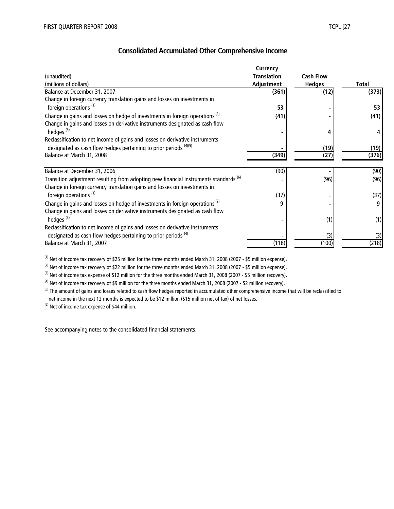## **Consolidated Accumulated Other Comprehensive Income**

|                                                                                         | Currency           |                  |              |
|-----------------------------------------------------------------------------------------|--------------------|------------------|--------------|
| (unaudited)                                                                             | <b>Translation</b> | <b>Cash Flow</b> |              |
| (millions of dollars)                                                                   | Adjustment         | <b>Hedges</b>    | <b>Total</b> |
| Balance at December 31, 2007                                                            | (361)              | (12)             | (373)        |
| Change in foreign currency translation gains and losses on investments in               |                    |                  |              |
| foreign operations <sup>(1)</sup>                                                       | 53                 |                  | 53           |
| Change in gains and losses on hedge of investments in foreign operations <sup>(2)</sup> | (41)               |                  | (41)         |
| Change in gains and losses on derivative instruments designated as cash flow            |                    |                  |              |
| hedges <sup>(3)</sup>                                                                   |                    |                  |              |
| Reclassification to net income of gains and losses on derivative instruments            |                    |                  |              |
| designated as cash flow hedges pertaining to prior periods (4)(5)                       |                    | (19)             | (19)         |
| Balance at March 31, 2008                                                               | (349)              | (27)             | (376)        |
|                                                                                         |                    |                  |              |
| Balance at December 31, 2006                                                            | (90)               |                  | (90)         |
| Transition adjustment resulting from adopting new financial instruments standards (6)   |                    | (96)             | (96)         |
| Change in foreign currency translation gains and losses on investments in               |                    |                  |              |
| foreign operations <sup>(1)</sup>                                                       | (37)               |                  | (37)         |
| Change in gains and losses on hedge of investments in foreign operations <sup>(2)</sup> | 9                  |                  | 9            |
| Change in gains and losses on derivative instruments designated as cash flow            |                    |                  |              |
| hedges <sup>(3)</sup>                                                                   |                    | (1)              | (1)          |
| Reclassification to net income of gains and losses on derivative instruments            |                    |                  |              |
| designated as cash flow hedges pertaining to prior periods <sup>(4)</sup>               |                    | (3)              | (3)          |
| Balance at March 31, 2007                                                               | (118)              | (100)            | (218)        |
|                                                                                         |                    |                  |              |

(1) Net of income tax recovery of \$25 million for the three months ended March 31, 2008 (2007 - \$5 million expense).

 $(2)$  Net of income tax recovery of \$22 million for the three months ended March 31, 2008 (2007 - \$5 million expense).

 $(3)$  Net of income tax expense of \$12 million for the three months ended March 31, 2008 (2007 - \$5 million recovery).

 $(4)$  Net of income tax recovery of \$9 million for the three months ended March 31, 2008 (2007 - \$2 million recovery).

<sup>(5)</sup> The amount of gains and losses related to cash flow hedges reported in accumulated other comprehensive income that will be reclassified to net income in the next 12 months is expected to be \$12 million (\$15 million net of tax) of net losses.

 $<sup>(6)</sup>$  Net of income tax expense of \$44 million.</sup>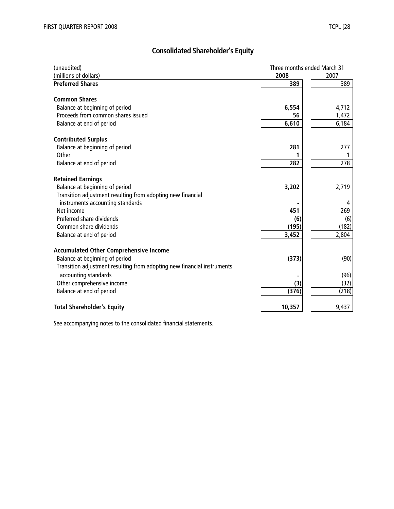# **Consolidated Shareholder's Equity**

| (unaudited)                                                                                     | Three months ended March 31 |       |
|-------------------------------------------------------------------------------------------------|-----------------------------|-------|
| (millions of dollars)                                                                           | 2008                        | 2007  |
| <b>Preferred Shares</b>                                                                         | 389                         | 389   |
| <b>Common Shares</b>                                                                            |                             |       |
| Balance at beginning of period                                                                  | 6,554                       | 4,712 |
| Proceeds from common shares issued                                                              | 56                          | 1,472 |
| Balance at end of period                                                                        | 6,610                       | 6,184 |
| <b>Contributed Surplus</b>                                                                      |                             |       |
| Balance at beginning of period                                                                  | 281                         | 277   |
| Other                                                                                           |                             |       |
| Balance at end of period                                                                        | 282                         | 278   |
| <b>Retained Earnings</b>                                                                        |                             |       |
| Balance at beginning of period<br>Transition adjustment resulting from adopting new financial   | 3,202                       | 2,719 |
| instruments accounting standards                                                                |                             | 4     |
| Net income                                                                                      | 451                         | 269   |
| Preferred share dividends                                                                       | (6)                         | (6)   |
| Common share dividends                                                                          | (195)                       | (182) |
| Balance at end of period                                                                        | 3,452                       | 2,804 |
| <b>Accumulated Other Comprehensive Income</b>                                                   |                             |       |
| Balance at beginning of period                                                                  | (373)                       | (90)  |
| Transition adjustment resulting from adopting new financial instruments<br>accounting standards |                             | (96)  |
| Other comprehensive income                                                                      | (3)                         | (32)  |
| Balance at end of period                                                                        | (376)                       | (218) |
| <b>Total Shareholder's Equity</b>                                                               | 10,357                      | 9,437 |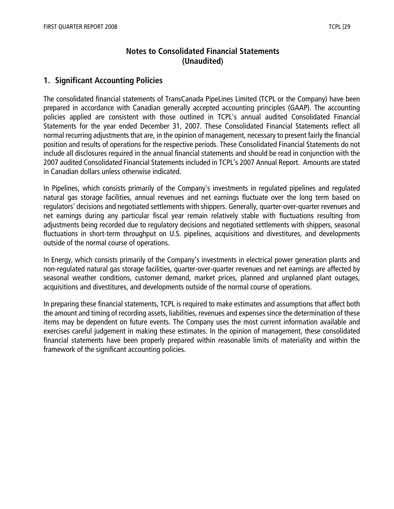## **Notes to Consolidated Financial Statements (Unaudited)**

## **1. Significant Accounting Policies**

The consolidated financial statements of TransCanada PipeLines Limited (TCPL or the Company) have been prepared in accordance with Canadian generally accepted accounting principles (GAAP). The accounting policies applied are consistent with those outlined in TCPL's annual audited Consolidated Financial Statements for the year ended December 31, 2007. These Consolidated Financial Statements reflect all normal recurring adjustments that are, in the opinion of management, necessary to present fairly the financial position and results of operations for the respective periods. These Consolidated Financial Statements do not include all disclosures required in the annual financial statements and should be read in conjunction with the 2007 audited Consolidated Financial Statements included in TCPL's 2007 Annual Report. Amounts are stated in Canadian dollars unless otherwise indicated.

In Pipelines, which consists primarily of the Company's investments in regulated pipelines and regulated natural gas storage facilities, annual revenues and net earnings fluctuate over the long term based on regulators' decisions and negotiated settlements with shippers. Generally, quarter-over-quarter revenues and net earnings during any particular fiscal year remain relatively stable with fluctuations resulting from adjustments being recorded due to regulatory decisions and negotiated settlements with shippers, seasonal fluctuations in short-term throughput on U.S. pipelines, acquisitions and divestitures, and developments outside of the normal course of operations.

In Energy, which consists primarily of the Company's investments in electrical power generation plants and non-regulated natural gas storage facilities, quarter-over-quarter revenues and net earnings are affected by seasonal weather conditions, customer demand, market prices, planned and unplanned plant outages, acquisitions and divestitures, and developments outside of the normal course of operations.

In preparing these financial statements, TCPL is required to make estimates and assumptions that affect both the amount and timing of recording assets, liabilities, revenues and expenses since the determination of these items may be dependent on future events. The Company uses the most current information available and exercises careful judgement in making these estimates. In the opinion of management, these consolidated financial statements have been properly prepared within reasonable limits of materiality and within the framework of the significant accounting policies.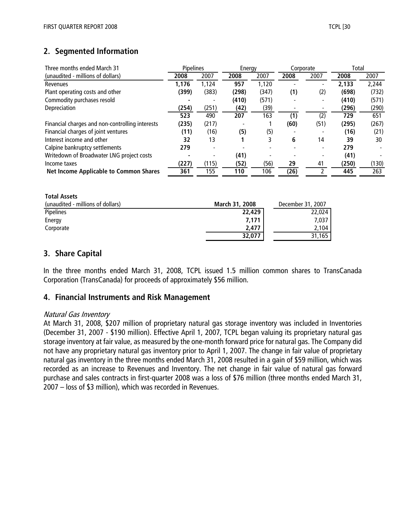# **2. Segmented Information**

| Three months ended March 31                     | <b>Pipelines</b> |                          | Energy |       |      | Corporate                | Total |       |
|-------------------------------------------------|------------------|--------------------------|--------|-------|------|--------------------------|-------|-------|
| (unaudited - millions of dollars)               | 2008             | 2007                     | 2008   | 2007  | 2008 | 2007                     | 2008  | 2007  |
| Revenues                                        | 1,176            | 1,124                    | 957    | 1,120 |      |                          | 2,133 | 2,244 |
| Plant operating costs and other                 | (399)            | (383)                    | (298)  | (347) | (1)  | (2)                      | (698) | (732) |
| Commodity purchases resold                      |                  |                          | (410)  | (571) |      | $\overline{\phantom{0}}$ | (410) | (571) |
| Depreciation                                    | (254)            | (251)                    | (42)   | (39)  |      |                          | (296) | (290) |
|                                                 | 523              | 490                      | 207    | 163   | (1)  | (2)                      | 729   | 651   |
| Financial charges and non-controlling interests | (235)            | (217)                    |        |       | (60) | (51)                     | (295) | (267) |
| Financial charges of joint ventures             | (11)             | (16)                     | (5)    | (5)   |      |                          | (16)  | (21)  |
| Interest income and other                       | 32               | 13                       |        | 3     | 6    | 14                       | 39    | 30    |
| Calpine bankruptcy settlements                  | 279              | $\overline{\phantom{0}}$ |        |       |      | $\overline{\phantom{0}}$ | 279   |       |
| Writedown of Broadwater LNG project costs       |                  |                          | (41)   |       |      |                          | (41)  |       |
| Income taxes                                    | (227)            | (115)                    | (52)   | (56)  | 29   | 41                       | (250) | (130) |
| <b>Net Income Applicable to Common Shares</b>   | 361              | 155                      | 110    | 106   | (26) |                          | 445   | 263   |

| <b>Total Assets</b>               |                       |                   |
|-----------------------------------|-----------------------|-------------------|
| (unaudited - millions of dollars) | <b>March 31, 2008</b> | December 31, 2007 |
| Pipelines                         | 22,429                | 22,024            |
| Energy                            | 7,171                 | 7,037             |
| Corporate                         | 2.477                 | 2.104             |
|                                   | 32,077                | 31,165            |

## **3. Share Capital**

In the three months ended March 31, 2008, TCPL issued 1.5 million common shares to TransCanada Corporation (TransCanada) for proceeds of approximately \$56 million.

## **4. Financial Instruments and Risk Management**

#### Natural Gas Inventory

At March 31, 2008, \$207 million of proprietary natural gas storage inventory was included in Inventories (December 31, 2007 - \$190 million). Effective April 1, 2007, TCPL began valuing its proprietary natural gas storage inventory at fair value, as measured by the one-month forward price for natural gas. The Company did not have any proprietary natural gas inventory prior to April 1, 2007. The change in fair value of proprietary natural gas inventory in the three months ended March 31, 2008 resulted in a gain of \$59 million, which was recorded as an increase to Revenues and Inventory. The net change in fair value of natural gas forward purchase and sales contracts in first-quarter 2008 was a loss of \$76 million (three months ended March 31, 2007 – loss of \$3 million), which was recorded in Revenues.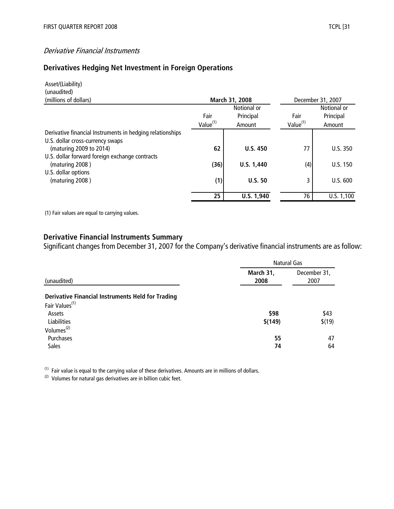#### Derivative Financial Instruments

# **Derivatives Hedging Net Investment in Foreign Operations**

| Asset/(Liability)                                         |                      |                 |                      |             |  |
|-----------------------------------------------------------|----------------------|-----------------|----------------------|-------------|--|
| (unaudited)                                               |                      |                 |                      |             |  |
| (millions of dollars)                                     |                      | March 31, 2008  | December 31, 2007    |             |  |
|                                                           |                      | Notional or     |                      | Notional or |  |
|                                                           | Fair                 | Principal       | Fair                 | Principal   |  |
|                                                           | Value <sup>(1)</sup> | Amount          | Value <sup>(1)</sup> | Amount      |  |
| Derivative financial Instruments in hedging relationships |                      |                 |                      |             |  |
| U.S. dollar cross-currency swaps                          |                      |                 |                      |             |  |
| (maturing 2009 to 2014)                                   | 62                   | <b>U.S. 450</b> | 77                   | U.S.350     |  |
| U.S. dollar forward foreign exchange contracts            |                      |                 |                      |             |  |
| (maturing 2008)                                           | (36)                 | U.S. 1,440      | (4)                  | U.S. 150    |  |
| U.S. dollar options                                       |                      |                 |                      |             |  |
| (maturing 2008)                                           | (1)                  | U.S.50          | 3                    | U.S. 600    |  |
|                                                           |                      |                 |                      |             |  |
|                                                           | 25                   | U.S. 1,940      | 76                   | U.S. 1,100  |  |

(1) Fair values are equal to carrying values.

## **Derivative Financial Instruments Summary**

Significant changes from December 31, 2007 for the Company's derivative financial instruments are as follow:

|                                                                                        | <b>Natural Gas</b> |                      |  |  |
|----------------------------------------------------------------------------------------|--------------------|----------------------|--|--|
| (unaudited)                                                                            | March 31,<br>2008  | December 31,<br>2007 |  |  |
| <b>Derivative Financial Instruments Held for Trading</b><br>Fair Values <sup>(1)</sup> |                    |                      |  |  |
| Assets<br><b>Liabilities</b>                                                           | \$98<br>\$(149)    | \$43<br>\$(19)       |  |  |
| Volumes <sup>(2)</sup><br>Purchases<br><b>Sales</b>                                    | 55<br>74           | 47<br>64             |  |  |

 $(1)$  Fair value is equal to the carrying value of these derivatives. Amounts are in millions of dollars.

 $(2)$  Volumes for natural gas derivatives are in billion cubic feet.